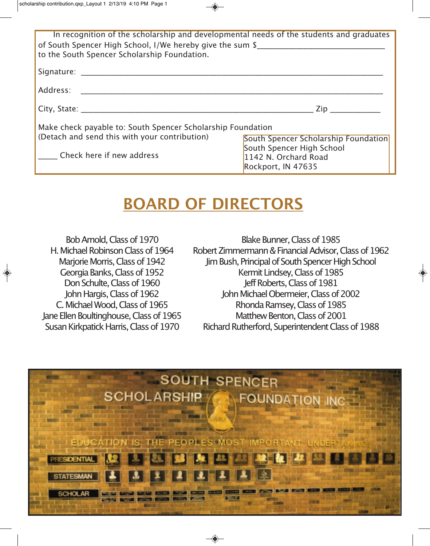| In recognition of the scholarship and developmental needs of the students and graduates<br>of South Spencer High School, I/We hereby give the sum \$<br>to the South Spencer Scholarship Foundation.                           |                                               |
|--------------------------------------------------------------------------------------------------------------------------------------------------------------------------------------------------------------------------------|-----------------------------------------------|
|                                                                                                                                                                                                                                |                                               |
| Address:                                                                                                                                                                                                                       |                                               |
| City, State: The City of the City of the City of the City of the City of the City of the City of the City of the City of the City of the City of the City of the City of the City of the City of the City of the City of the C | $\mathsf{Zip} \xrightarrow[]{\;\;}\mathsf{I}$ |
| Make check payable to: South Spencer Scholarship Foundation                                                                                                                                                                    |                                               |
| (Detach and send this with your contribution)                                                                                                                                                                                  | <b>South Spencer Scholarship Foundation</b>   |
|                                                                                                                                                                                                                                | South Spencer High School                     |
| Check here if new address                                                                                                                                                                                                      | 1142 N. Orchard Road                          |

# **BOARD OF DIRECTORS**

Bob Arnold, Class of 1970 H. Michael Robinson Class of 1964 Marjorie Morris, Class of 1942 Georgia Banks, Class of 1952 Don Schulte, Class of 1960 John Hargis, Class of 1962 C. Michael Wood, Class of 1965 Jane Ellen Boultinghouse, Class of 1965 Susan Kirkpatick Harris, Class of 1970

♦

Blake Bunner, Class of 1985 Robert Zimmermann & Financial Advisor, Class of 1962 Jim Bush, Principal of South Spencer High School Kermit Lindsey, Class of 1985 Jeff Roberts, Class of 1981 John Michael Obermeier, Class of 2002 Rhonda Ramsey, Class of 1985 Matthew Benton, Class of 2001 Richard Rutherford, Superintendent Class of 1988

 $\bigcirc$ 

Rockport, IN 47635